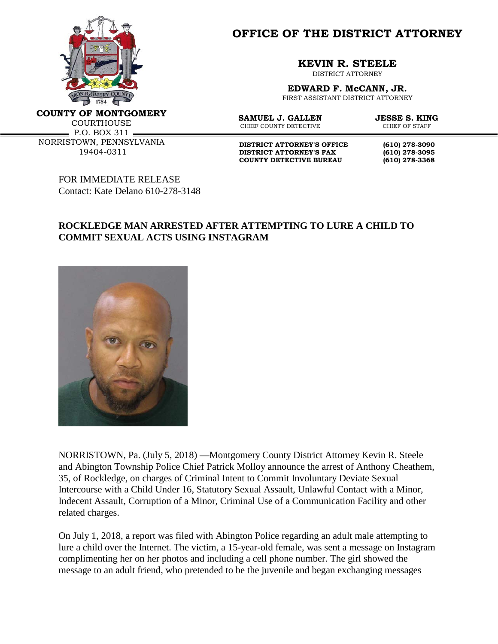

**OFFICE OF THE DISTRICT ATTORNEY**

**KEVIN R. STEELE**

DISTRICT ATTORNEY

**EDWARD F. McCANN, JR.**

FIRST ASSISTANT DISTRICT ATTORNEY

**COUNTY OF MONTGOMERY**

**COURTHOUSE** 

P.O. BOX 311 NORRISTOWN, PENNSYLVANIA 19404-0311

**SAMUEL J. GALLEN JESSE S. KING**<br>CHIEF COUNTY DETECTIVE **CHIEF OF STAFF** CHIEF COUNTY DETECTIVE

**DISTRICT ATTORNEY'S OFFICE** (610) 278-3090<br>DISTRICT ATTORNEY'S FAX (610) 278-3095 **DISTRICT ATTORNEY'S FAX** (610) 278-3095<br> **COUNTY DETECTIVE BUREAU** (610) 278-3368 **COUNTY DETECTIVE BUREAU (610) 278-3368**

FOR IMMEDIATE RELEASE Contact: Kate Delano 610-278-3148

## **ROCKLEDGE MAN ARRESTED AFTER ATTEMPTING TO LURE A CHILD TO COMMIT SEXUAL ACTS USING INSTAGRAM**



NORRISTOWN, Pa. (July 5, 2018) —Montgomery County District Attorney Kevin R. Steele and Abington Township Police Chief Patrick Molloy announce the arrest of Anthony Cheathem, 35, of Rockledge, on charges of Criminal Intent to Commit Involuntary Deviate Sexual Intercourse with a Child Under 16, Statutory Sexual Assault, Unlawful Contact with a Minor, Indecent Assault, Corruption of a Minor, Criminal Use of a Communication Facility and other related charges.

On July 1, 2018, a report was filed with Abington Police regarding an adult male attempting to lure a child over the Internet. The victim, a 15-year-old female, was sent a message on Instagram complimenting her on her photos and including a cell phone number. The girl showed the message to an adult friend, who pretended to be the juvenile and began exchanging messages